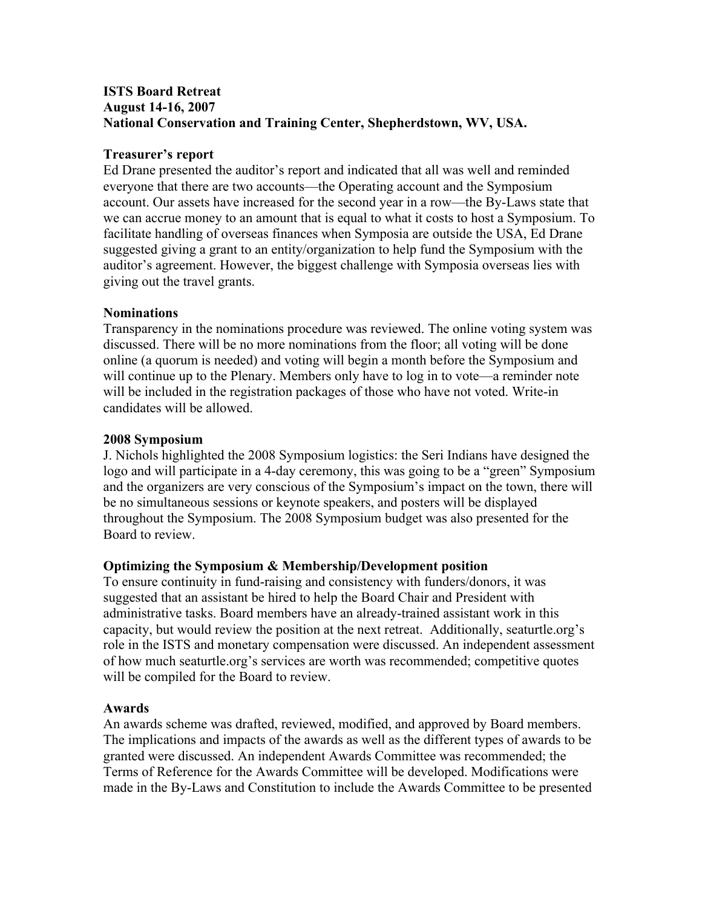# **ISTS Board Retreat August 14-16, 2007 National Conservation and Training Center, Shepherdstown, WV, USA.**

### **Treasurer's report**

Ed Drane presented the auditor's report and indicated that all was well and reminded everyone that there are two accounts—the Operating account and the Symposium account. Our assets have increased for the second year in a row—the By-Laws state that we can accrue money to an amount that is equal to what it costs to host a Symposium. To facilitate handling of overseas finances when Symposia are outside the USA, Ed Drane suggested giving a grant to an entity/organization to help fund the Symposium with the auditor's agreement. However, the biggest challenge with Symposia overseas lies with giving out the travel grants.

### **Nominations**

Transparency in the nominations procedure was reviewed. The online voting system was discussed. There will be no more nominations from the floor; all voting will be done online (a quorum is needed) and voting will begin a month before the Symposium and will continue up to the Plenary. Members only have to log in to vote—a reminder note will be included in the registration packages of those who have not voted. Write-in candidates will be allowed.

### **2008 Symposium**

J. Nichols highlighted the 2008 Symposium logistics: the Seri Indians have designed the logo and will participate in a 4-day ceremony, this was going to be a "green" Symposium and the organizers are very conscious of the Symposium's impact on the town, there will be no simultaneous sessions or keynote speakers, and posters will be displayed throughout the Symposium. The 2008 Symposium budget was also presented for the Board to review.

# **Optimizing the Symposium & Membership/Development position**

To ensure continuity in fund-raising and consistency with funders/donors, it was suggested that an assistant be hired to help the Board Chair and President with administrative tasks. Board members have an already-trained assistant work in this capacity, but would review the position at the next retreat. Additionally, seaturtle.org's role in the ISTS and monetary compensation were discussed. An independent assessment of how much seaturtle.org's services are worth was recommended; competitive quotes will be compiled for the Board to review.

### **Awards**

An awards scheme was drafted, reviewed, modified, and approved by Board members. The implications and impacts of the awards as well as the different types of awards to be granted were discussed. An independent Awards Committee was recommended; the Terms of Reference for the Awards Committee will be developed. Modifications were made in the By-Laws and Constitution to include the Awards Committee to be presented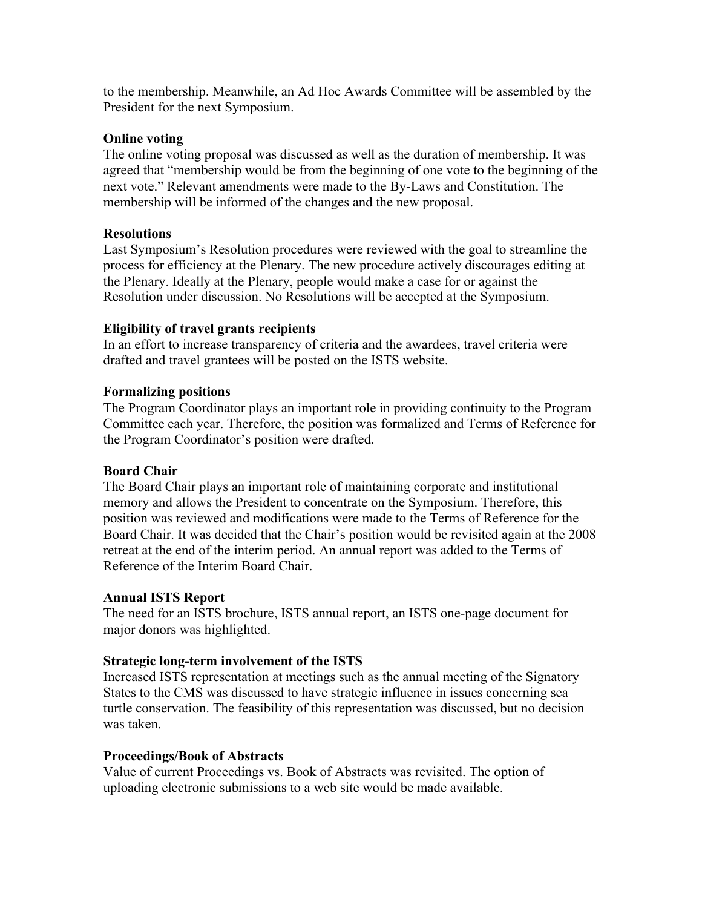to the membership. Meanwhile, an Ad Hoc Awards Committee will be assembled by the President for the next Symposium.

### **Online voting**

The online voting proposal was discussed as well as the duration of membership. It was agreed that "membership would be from the beginning of one vote to the beginning of the next vote." Relevant amendments were made to the By-Laws and Constitution. The membership will be informed of the changes and the new proposal.

### **Resolutions**

Last Symposium's Resolution procedures were reviewed with the goal to streamline the process for efficiency at the Plenary. The new procedure actively discourages editing at the Plenary. Ideally at the Plenary, people would make a case for or against the Resolution under discussion. No Resolutions will be accepted at the Symposium.

### **Eligibility of travel grants recipients**

In an effort to increase transparency of criteria and the awardees, travel criteria were drafted and travel grantees will be posted on the ISTS website.

### **Formalizing positions**

The Program Coordinator plays an important role in providing continuity to the Program Committee each year. Therefore, the position was formalized and Terms of Reference for the Program Coordinator's position were drafted.

### **Board Chair**

The Board Chair plays an important role of maintaining corporate and institutional memory and allows the President to concentrate on the Symposium. Therefore, this position was reviewed and modifications were made to the Terms of Reference for the Board Chair. It was decided that the Chair's position would be revisited again at the 2008 retreat at the end of the interim period. An annual report was added to the Terms of Reference of the Interim Board Chair.

### **Annual ISTS Report**

The need for an ISTS brochure, ISTS annual report, an ISTS one-page document for major donors was highlighted.

### **Strategic long-term involvement of the ISTS**

Increased ISTS representation at meetings such as the annual meeting of the Signatory States to the CMS was discussed to have strategic influence in issues concerning sea turtle conservation. The feasibility of this representation was discussed, but no decision was taken.

### **Proceedings/Book of Abstracts**

Value of current Proceedings vs. Book of Abstracts was revisited. The option of uploading electronic submissions to a web site would be made available.